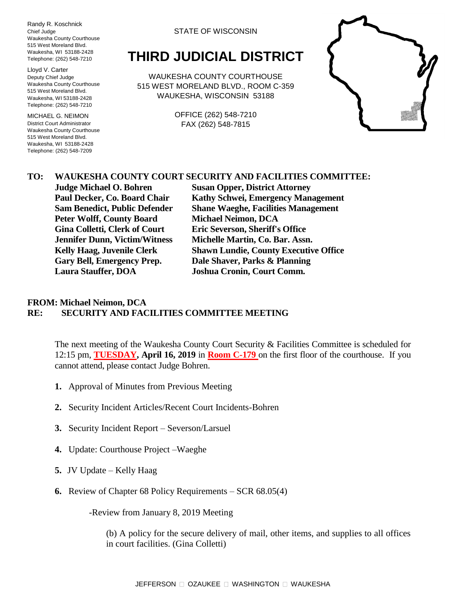Randy R. Koschnick Chief Judge Waukesha County Courthouse 515 West Moreland Blvd. Waukesha, WI 53188-2428 Telephone: (262) 548-7210

Lloyd V. Carter Deputy Chief Judge Waukesha County Courthouse 515 West Moreland Blvd. Waukesha, WI 53188-2428 Telephone: (262) 548-7210

MICHAEL G. NEIMON District Court Administrator Waukesha County Courthouse 515 West Moreland Blvd. Waukesha, WI 53188-2428 Telephone: (262) 548-7209

#### STATE OF WISCONSIN

# **THIRD JUDICIAL DISTRICT**

WAUKESHA COUNTY COURTHOUSE 515 WEST MORELAND BLVD., ROOM C-359 WAUKESHA, WISCONSIN 53188

> OFFICE (262) 548-7210 FAX (262) 548-7815



### **TO: WAUKESHA COUNTY COURT SECURITY AND FACILITIES COMMITTEE:**

**Peter Wolff, County Board Michael Neimon, DCA Gina Colletti, Clerk of Court Eric Severson, Sheriff's Office Jennifer Dunn, Victim/Witness Michelle Martin, Co. Bar. Assn. Gary Bell, Emergency Prep. Dale Shaver, Parks & Planning Laura Stauffer, DOA Joshua Cronin, Court Comm.**

**Judge Michael O. Bohren Susan Opper, District Attorney Paul Decker, Co. Board Chair Kathy Schwei, Emergency Management Sam Benedict, Public Defender Shane Waeghe, Facilities Management Kelly Haag, Juvenile Clerk Shawn Lundie, County Executive Office**

#### **FROM: Michael Neimon, DCA RE: SECURITY AND FACILITIES COMMITTEE MEETING**

The next meeting of the Waukesha County Court Security & Facilities Committee is scheduled for 12:15 pm, **TUESDAY, April 16, 2019** in **Room C-179** on the first floor of the courthouse. If you cannot attend, please contact Judge Bohren.

- **1.** Approval of Minutes from Previous Meeting
- **2.** Security Incident Articles/Recent Court Incidents-Bohren
- **3.** Security Incident Report Severson/Larsuel
- **4.** Update: Courthouse Project –Waeghe
- **5.** JV Update Kelly Haag
- **6.** Review of Chapter 68 Policy Requirements SCR 68.05(4)

-Review from January 8, 2019 Meeting

(b) A policy for the secure delivery of mail, other items, and supplies to all offices in court facilities. (Gina Colletti)